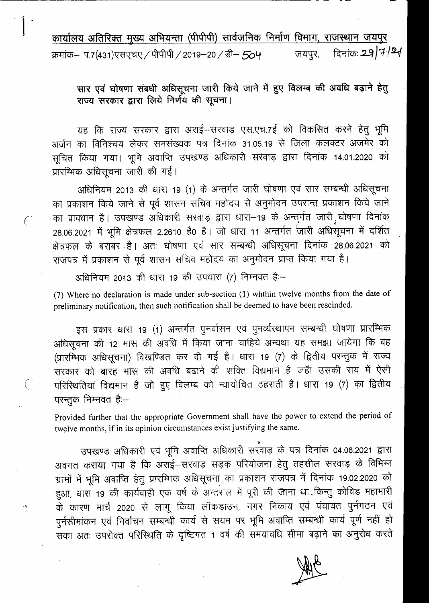कार्यालय अतिरिक्त मुख्य अभियन्ता (पीपीपी) सार्वजनिक निर्माण विभाग, राजस्थान जयपुर क्रमांक– प.7(431)एसएचए / पीपीपी / 2019–20 / डी– 504 <sup>कर</sup> जयपुर, नदिनांकः 29 | 7- | 24

------------------------- - - --

सार एवं घोषणा संबधी अधिसूचना जारी किये जाने में हुए विलम्ब की अवधि बढ़ाने हेतु राज्य सरकार द्वारा लिये निर्णय की सूचना।

यह कि राज्य सरकार द्वारा अराई-सरवाड़ एस.एच.7ई को विकसित करने हेतु भूमि अर्जन का विनिश्चय लेकर समसंख्यक पत्र दिनांक 31.05.19 से जिला कलक्टर अजमेर को सूचित किया गया। भूमि अवाप्ति उपखण्ड अधिकारी सरवाड़ द्वारा दिनांक 14.01.2020 को प्रारम्भिक अधिसूचना जारी की गई।

अधिनियम 2013 की धारा 19 (1) के अन्तर्गत जारी घोषणा एवं सार सम्बन्धी अधिसूचना का प्रकाशन किये जाने से पूर्व शासन सचिव महोदय से अनुमोदन उपरान्त प्रकाशन किये जाने ( - ) का प्रावधान है। उपखण्ड अधिकारी सरवाड़ द्वारा धारा–19 के अन्तुर्गत जारी घोषणा दिनांक 28.06.2021 में भूमि क्षेत्रफल 2.2610 है0 है। जो धारा 11 अन्तर्गत जारी अधिसूचना में दर्शित क्षेत्रफल के बराबर है। अतः घोषणा एवं सार सम्बन्धी अधिसूचना दिनांक 28.06.2021 को राजपत्र में प्रकाशन से पूर्व शासन सचिव महोदय का अनुमोदन प्राप्त किया गया है।

अधिनियम 2013 की धारा 19 की उपधारा (7) निम्नवत है:-

;""-

(7) Where no declaration is made under sub-section (1) whthin twelve' months from the date of preliminary notification, then such notification shall be deemed to have been rescinded.

इस प्रकार धारा 19 (1) अन्तर्गत पुनर्वासन एवं पुनर्व्यस्थापन सम्बन्धी घोषणा प्रारम्भिक अधिसूचना की 12 मास की अवधि में किया जाना चाहिये अन्यथा यह समझा जायेगा कि वह (प्रारम्भिक अधिसूचना) विखण्ड़ित कर दी गई है। धारा 19 (7) के द्वितीय परन्तुक में राज्य सरकार को बारह मास की अवधि बढाने की शक्ति विद्यमान है जहाँ उसकी राय में ऐसी परिस्थितियां विद्यमान है जो हुए विलम्ब को न्यायोचित ठहराती है। धारा 19 (7) का द्वितीय परन्तुक निम्नवत हैः-

Provided further that the appropriate Government shall have the power to extend the period of twelve months, if in its opinion circumstances exist justifying the same.

7 उपखण्ड अधिकारी एवं भूमि अवाप्ति आधकारा सरवाड़ के पत्र दिनाके 04.06.2021 द्वारा अवगत कराया गया है कि अराई-सरवाड़ सड़क परियोजना हेतु तहसील सरवाड़ के विभिन्न ग्रामों में भूमि अवाप्ति हेतु प्रारम्भिक अधिसूचना का प्रकाशन राजपत्र में दिनांक 19.02.2020 को हुआ, धारा 19 की कार्यवाही एक वर्ष के अन्तराल में पूरी की जाना था किन्तु कोविड महामारी के कारण मार्च 2020 से लागू किया लॉकडाउन, नगर निकाय एवं पंचायत पुर्नगठन एवं पूर्नसीमांकन एवं निर्वाचन सम्बन्धी कार्य से सयम पर भूमि अवाप्ति सम्बन्धी कार्य पूर्ण नहीं हो सका अतः उपरोक्त परिस्थिति के दृष्टिगत 1 वर्ष की समयावधि सीमा बढ़ाने का अनुरोध करते